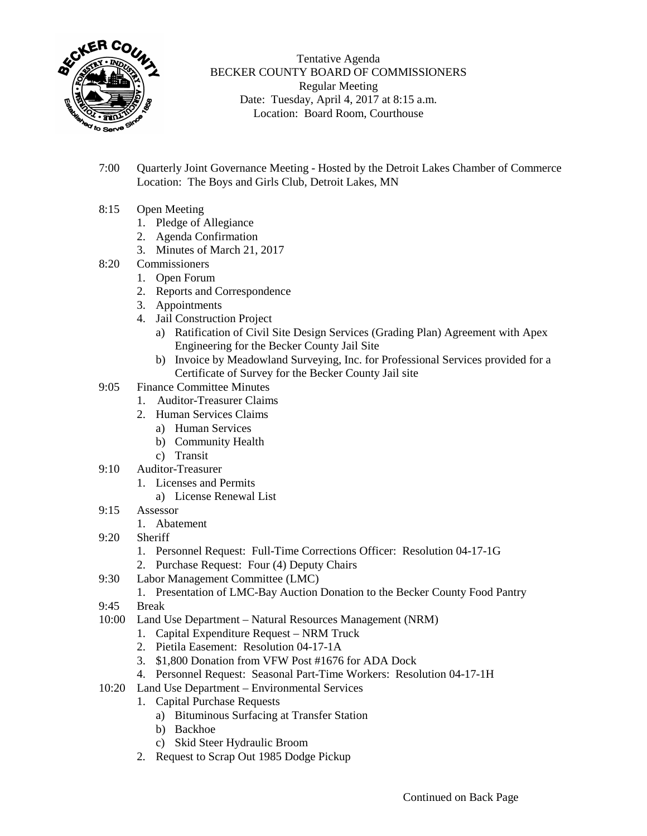

Tentative Agenda BECKER COUNTY BOARD OF COMMISSIONERS Regular Meeting Date: Tuesday, April 4, 2017 at 8:15 a.m. Location: Board Room, Courthouse

- 7:00 Quarterly Joint Governance Meeting Hosted by the Detroit Lakes Chamber of Commerce Location: The Boys and Girls Club, Detroit Lakes, MN
- 8:15 Open Meeting
	- 1. Pledge of Allegiance
	- 2. Agenda Confirmation
	- 3. Minutes of March 21, 2017
- 8:20 Commissioners
	- 1. Open Forum
	- 2. Reports and Correspondence
	- 3. Appointments
	- 4. Jail Construction Project
		- a) Ratification of Civil Site Design Services (Grading Plan) Agreement with Apex Engineering for the Becker County Jail Site
		- b) Invoice by Meadowland Surveying, Inc. for Professional Services provided for a Certificate of Survey for the Becker County Jail site
- 9:05 Finance Committee Minutes
	- 1. Auditor-Treasurer Claims
	- 2. Human Services Claims
		- a) Human Services
		- b) Community Health
		- c) Transit
- 9:10 Auditor-Treasurer
	- 1. Licenses and Permits
		- a) License Renewal List
- 9:15 Assessor
	- 1. Abatement
- 9:20 Sheriff
	- 1. Personnel Request: Full-Time Corrections Officer: Resolution 04-17-1G
	- 2. Purchase Request: Four (4) Deputy Chairs
- 9:30 Labor Management Committee (LMC)
	- 1. Presentation of LMC-Bay Auction Donation to the Becker County Food Pantry
- 9:45 Break
- 10:00 Land Use Department Natural Resources Management (NRM)
	- 1. Capital Expenditure Request NRM Truck
	- 2. Pietila Easement: Resolution 04-17-1A
	- 3. \$1,800 Donation from VFW Post #1676 for ADA Dock
	- 4. Personnel Request: Seasonal Part-Time Workers: Resolution 04-17-1H
- 10:20 Land Use Department Environmental Services
	- 1. Capital Purchase Requests
		- a) Bituminous Surfacing at Transfer Station
		- b) Backhoe
		- c) Skid Steer Hydraulic Broom
	- 2. Request to Scrap Out 1985 Dodge Pickup